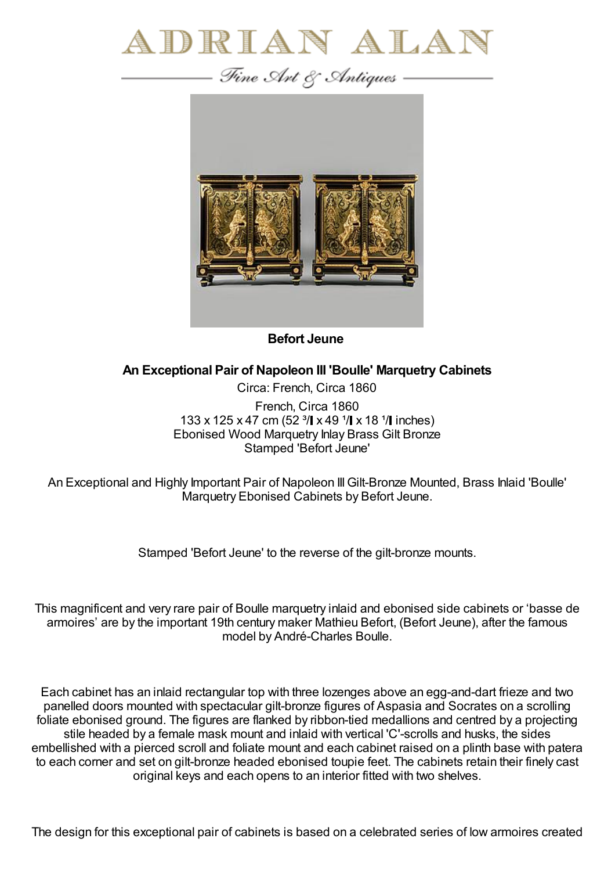



**Befort Jeune**

## **An Exceptional Pair of Napoleon III 'Boulle' Marquetry Cabinets**

Circa: French, Circa 1860 French, Circa 1860 133 x 125 x 47 cm (52  $\frac{3}{1}$  x 49  $\frac{1}{1}$  x 18  $\frac{1}{1}$  inches) Ebonised Wood Marquetry Inlay Brass Gilt Bronze Stamped 'Befort Jeune'

An Exceptional and Highly Important Pair of Napoleon IIIGilt-Bronze Mounted, Brass Inlaid 'Boulle' Marquetry Ebonised Cabinets by Befort Jeune.

Stamped 'Befort Jeune' to the reverse of the gilt-bronze mounts.

This magnificent and very rare pair of Boulle marquetry inlaid and ebonised side cabinets or 'basse de armoires' are by the important 19th century maker Mathieu Befort, (Befort Jeune), after the famous model by André-Charles Boulle.

Each cabinet has an inlaid rectangular top with three lozenges above an egg-and-dart frieze and two panelled doors mounted with spectacular gilt-bronze figures of Aspasia and Socrates on a scrolling foliate ebonised ground. The figures are flanked by ribbon-tied medallions and centred by a projecting stile headed by a female mask mount and inlaid with vertical 'C'-scrolls and husks, the sides embellished with a pierced scroll and foliate mount and each cabinet raised on a plinth base with patera to each corner and set on gilt-bronze headed ebonised toupie feet. The cabinets retain their finely cast original keys and each opens to an interior fitted with two shelves.

The design for this exceptional pair of cabinets is based on a celebrated series of low armoires created